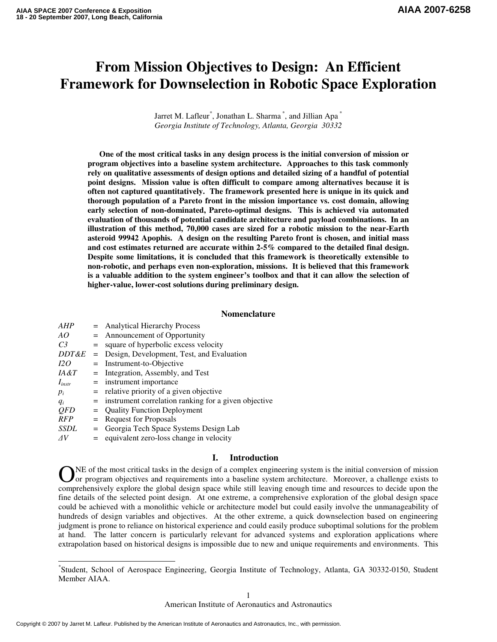# **From Mission Objectives to Design: An Efficient Framework for Downselection in Robotic Space Exploration**

Jarret M. Lafleur \*, Jonathan L. Sharma \*, and Jillian Apa \* *Georgia Institute of Technology, Atlanta, Georgia 30332*

**One of the most critical tasks in any design process is the initial conversion of mission or program objectives into a baseline system architecture. Approaches to this task commonly rely on qualitative assessments of design options and detailed sizing of a handful of potential point designs. Mission value is often difficult to compare among alternatives because it is often not captured quantitatively. The framework presented here is unique in its quick and thorough population of a Pareto front in the mission importance vs. cost domain, allowing early selection of non-dominated, Pareto-optimal designs. This is achieved via automated evaluation of thousands of potential candidate architecture and payload combinations. In an illustration of this method, 70,000 cases are sized for a robotic mission to the near-Earth asteroid 99942 Apophis. A design on the resulting Pareto front is chosen, and initial mass and cost estimates returned are accurate within 2-5% compared to the detailed final design. Despite some limitations, it is concluded that this framework is theoretically extensible to non-robotic, and perhaps even non-exploration, missions. It is believed that this framework is a valuable addition to the system engineer's toolbox and that it can allow the selection of higher-value, lower-cost solutions during preliminary design.**

## **Nomenclature**

| AHP              |     | = Analytical Hierarchy Process                         |
|------------------|-----|--------------------------------------------------------|
| AO               |     | = Announcement of Opportunity                          |
| C <sub>3</sub>   | $=$ | square of hyperbolic excess velocity                   |
| <i>DDT&amp;E</i> |     | = Design, Development, Test, and Evaluation            |
| I2O              |     | $=$ Instrument-to-Objective                            |
| IA&T             |     | = Integration, Assembly, and Test                      |
| $I_{instr}$      |     | $=$ instrument importance                              |
| $p_i$            |     | = relative priority of a given objective               |
| $q_i$            |     | = instrument correlation ranking for a given objective |
| QFD              | $=$ | <b>Quality Function Deployment</b>                     |
| <b>RFP</b>       |     | = Request for Proposals                                |
| <i>SSDL</i>      | $=$ | Georgia Tech Space Systems Design Lab                  |
|                  |     | $=$ equivalent zero-loss change in velocity            |

#### **I. Introduction**

NE of the most critical tasks in the design of a complex engineering system is the initial conversion of mission or program objectives and requirements into a baseline system architecture. Moreover, a challenge exists to ONE of the most critical tasks in the design of a complex engineering system is the initial conversion of mission<br>or program objectives and requirements into a baseline system architecture. Moreover, a challenge exists to<br> fine details of the selected point design. At one extreme, a comprehensive exploration of the global design space could be achieved with a monolithic vehicle or architecture model but could easily involve the unmanageability of hundreds of design variables and objectives. At the other extreme, a quick downselection based on engineering judgment is prone to reliance on historical experience and could easily produce suboptimal solutions for the problem at hand. The latter concern is particularly relevant for advanced systems and exploration applications where extrapolation based on historical designs is impossible due to new and unique requirements and environments. This

<sup>\*</sup> Student, School of Aerospace Engineering, Georgia Institute of Technology, Atlanta, GA 30332-0150, Student Member AIAA.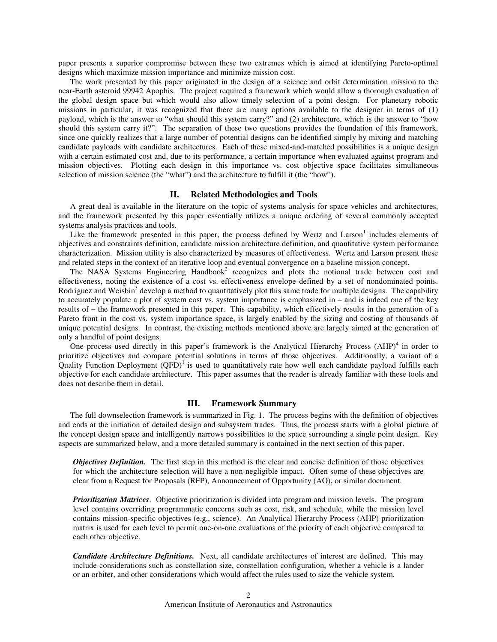paper presents a superior compromise between these two extremes which is aimed at identifying Pareto-optimal designs which maximize mission importance and minimize mission cost.

The work presented by this paper originated in the design of a science and orbit determination mission to the near-Earth asteroid 99942 Apophis. The project required a framework which would allow a thorough evaluation of the global design space but which would also allow timely selection of a point design. For planetary robotic missions in particular, it was recognized that there are many options available to the designer in terms of (1) payload, which is the answer to "what should this system carry?" and (2) architecture, which is the answer to "how should this system carry it?". The separation of these two questions provides the foundation of this framework, since one quickly realizes that a large number of potential designs can be identified simply by mixing and matching candidate payloads with candidate architectures. Each of these mixed-and-matched possibilities is a unique design with a certain estimated cost and, due to its performance, a certain importance when evaluated against program and mission objectives. Plotting each design in this importance vs. cost objective space facilitates simultaneous selection of mission science (the "what") and the architecture to fulfill it (the "how").

#### **II. Related Methodologies and Tools**

A great deal is available in the literature on the topic of systems analysis for space vehicles and architectures, and the framework presented by this paper essentially utilizes a unique ordering of several commonly accepted systems analysis practices and tools.

Like the framework presented in this paper, the process defined by Wertz and Larson<sup>1</sup> includes elements of objectives and constraints definition, candidate mission architecture definition, and quantitative system performance characterization. Mission utility is also characterized by measures of effectiveness. Wertz and Larson present these and related steps in the context of an iterative loop and eventual convergence on a baseline mission concept.

The NASA Systems Engineering Handbook<sup>2</sup> recognizes and plots the notional trade between cost and effectiveness, noting the existence of a cost vs. effectiveness envelope defined by a set of nondominated points. Rodriguez and Weisbin<sup>3</sup> develop a method to quantitatively plot this same trade for multiple designs. The capability to accurately populate a plot of system cost vs. system importance is emphasized in – and is indeed one of the key results of – the framework presented in this paper. This capability, which effectively results in the generation of a Pareto front in the cost vs. system importance space, is largely enabled by the sizing and costing of thousands of unique potential designs. In contrast, the existing methods mentioned above are largely aimed at the generation of only a handful of point designs.

One process used directly in this paper's framework is the Analytical Hierarchy Process (AHP)<sup>4</sup> in order to prioritize objectives and compare potential solutions in terms of those objectives. Additionally, a variant of a Quality Function Deployment  $(QFD)^{1}$  is used to quantitatively rate how well each candidate payload fulfills each objective for each candidate architecture. This paper assumes that the reader is already familiar with these tools and does not describe them in detail.

## **III. Framework Summary**

The full downselection framework is summarized in Fig. 1. The process begins with the definition of objectives and ends at the initiation of detailed design and subsystem trades. Thus, the process starts with a global picture of the concept design space and intelligently narrows possibilities to the space surrounding a single point design. Key aspects are summarized below, and a more detailed summary is contained in the next section of this paper.

*Objectives Definition.* The first step in this method is the clear and concise definition of those objectives for which the architecture selection will have a non-negligible impact. Often some of these objectives are clear from a Request for Proposals (RFP), Announcement of Opportunity (AO), or similar document.

*Prioritization Matrices*. Objective prioritization is divided into program and mission levels. The program level contains overriding programmatic concerns such as cost, risk, and schedule, while the mission level contains mission-specific objectives (e.g., science). An Analytical Hierarchy Process (AHP) prioritization matrix is used for each level to permit one-on-one evaluations of the priority of each objective compared to each other objective.

*Candidate Architecture Definitions.* Next, all candidate architectures of interest are defined. This may include considerations such as constellation size, constellation configuration, whether a vehicle is a lander or an orbiter, and other considerations which would affect the rules used to size the vehicle system.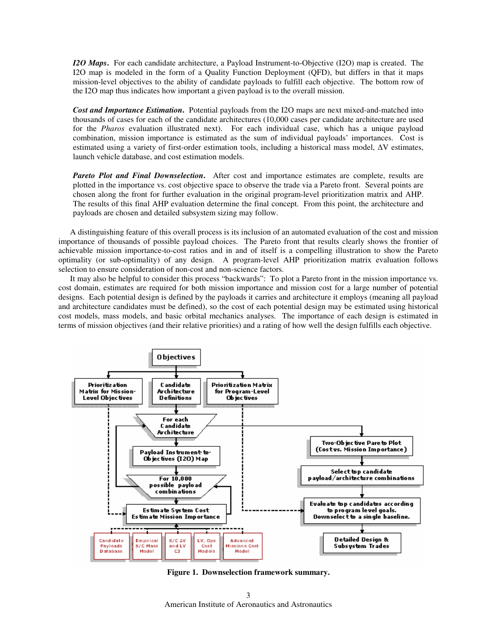*I2O Maps***.** For each candidate architecture, a Payload Instrument-to-Objective (I2O) map is created. The I2O map is modeled in the form of a Quality Function Deployment (QFD), but differs in that it maps mission-level objectives to the ability of candidate payloads to fulfill each objective. The bottom row of the I2O map thus indicates how important a given payload is to the overall mission.

*Cost and Importance Estimation***.** Potential payloads from the I2O maps are next mixed-and-matched into thousands of cases for each of the candidate architectures (10,000 cases per candidate architecture are used for the *Pharos* evaluation illustrated next). For each individual case, which has a unique payload combination, mission importance is estimated as the sum of individual payloads' importances. Cost is estimated using a variety of first-order estimation tools, including a historical mass model,  $\Delta V$  estimates, launch vehicle database, and cost estimation models.

*Pareto Plot and Final Downselection***.** After cost and importance estimates are complete, results are plotted in the importance vs. cost objective space to observe the trade via a Pareto front. Several points are chosen along the front for further evaluation in the original program-level prioritization matrix and AHP. The results of this final AHP evaluation determine the final concept. From this point, the architecture and payloads are chosen and detailed subsystem sizing may follow.

A distinguishing feature of this overall process is its inclusion of an automated evaluation of the cost and mission importance of thousands of possible payload choices. The Pareto front that results clearly shows the frontier of achievable mission importance-to-cost ratios and in and of itself is a compelling illustration to show the Pareto optimality (or sub-optimality) of any design. A program-level AHP prioritization matrix evaluation follows selection to ensure consideration of non-cost and non-science factors.

It may also be helpful to consider this process "backwards": To plot a Pareto front in the mission importance vs. cost domain, estimates are required for both mission importance and mission cost for a large number of potential designs. Each potential design is defined by the payloads it carries and architecture it employs (meaning all payload and architecture candidates must be defined), so the cost of each potential design may be estimated using historical cost models, mass models, and basic orbital mechanics analyses. The importance of each design is estimated in terms of mission objectives (and their relative priorities) and a rating of how well the design fulfills each objective.



**Figure 1. Downselection framework summary.**

American Institute of Aeronautics and Astronautics 3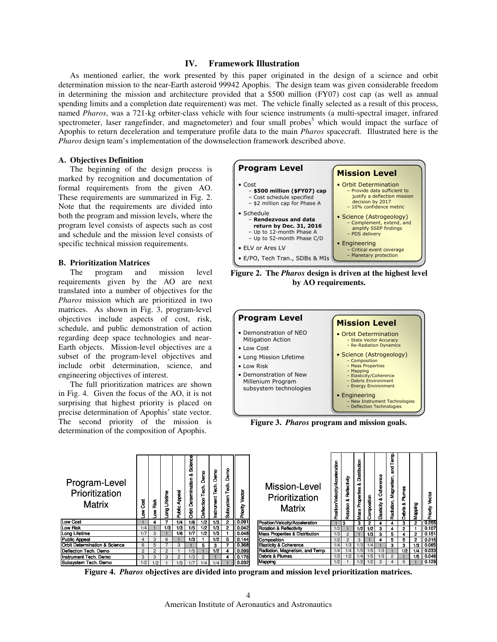## **IV. Framework Illustration**

As mentioned earlier, the work presented by this paper originated in the design of a science and orbit determination mission to the near-Earth asteroid 99942 Apophis. The design team was given considerable freedom in determining the mission and architecture provided that a \$500 million (FY07) cost cap (as well as annual spending limits and a completion date requirement) was met. The vehicle finally selected as a result of this process, named *Pharos*, was a 721-kg orbiter-class vehicle with four science instruments (a multi-spectral imager, infrared spectrometer, laser rangefinder, and magnetometer) and four small probes<sup>5</sup> which would impact the surface of Apophis to return deceleration and temperature profile data to the main *Pharos* spacecraft. Illustrated here is the *Pharos* design team's implementation of the downselection framework described above.

#### **A. Objectives Definition**

The beginning of the design process is marked by recognition and documentation of formal requirements from the given AO. These requirements are summarized in Fig. 2. Note that the requirements are divided into both the program and mission levels, where the program level consists of aspects such as cost and schedule and the mission level consists of specific technical mission requirements.

#### **B. Prioritization Matrices**

The program and mission level requirements given by the AO are next translated into a number of objectives for the *Pharos* mission which are prioritized in two matrices. As shown in Fig. 3, program-level objectives include aspects of cost, risk, schedule, and public demonstration of action regarding deep space technologies and near-Earth objects. Mission-level objectives are a subset of the program-level objectives and include orbit determination, science, and engineering objectives of interest.

The full prioritization matrices are shown in Fig. 4. Given the focus of the AO, it is not surprising that highest priority is placed on precise determination of Apophis' state vector. The second priority of the mission is determination of the composition of Apophis.



**Figure 2. The** *Pharos* **design is driven at the highest level by AO requirements.**



**Figure 3.** *Pharos* **program and mission goals.**

| Program-Level<br>Prioritization<br><b>Matrix</b> | ğ<br>š         | Ě   | ong Lifetime   | <b>Appeal</b><br><b>Sign</b> | Science<br>٥ð<br>Determination<br>Ĕ | 옽<br>පී<br>Tech.<br>eflection | Demo<br>Tech.<br>nstrument | e<br>E<br>ó<br>۴ë<br>P<br>Subsystem | yetoi<br>Priority | Mission-Level<br>Prioritization<br><b>Matrix</b> | ation<br>$\frac{9}{8}$<br>ક્<br>osition/Velocity/ | <b>Reflectivity</b><br>οă<br>Rotation | ŝ<br>Distrib<br>Properties<br>S,<br>욕 | omposition | Coherence<br>٥ő<br>sticity<br>꼮 | Temp<br>g<br>Magnetism<br>Radiation, | Plumes<br>oð<br>ebris | Vlapping | ector<br>Priority |
|--------------------------------------------------|----------------|-----|----------------|------------------------------|-------------------------------------|-------------------------------|----------------------------|-------------------------------------|-------------------|--------------------------------------------------|---------------------------------------------------|---------------------------------------|---------------------------------------|------------|---------------------------------|--------------------------------------|-----------------------|----------|-------------------|
| Low Cost                                         |                |     |                | 1/4                          | 1/6                                 | 1/2                           | 1/3                        | 2                                   | 0.091             | Position/Velocity/Acceleration                   |                                                   | 13                                    | з                                     | 2          |                                 |                                      | з                     | 2        | 0.255             |
| <b>Low Risk</b>                                  | 1/4            |     | 1/3            | 1/3                          | 1/5                                 | 1/2                           | 1/3                        | 2                                   | II 0.042          | Rotation & Reflectivity                          | 1/3                                               |                                       | 112                                   |            |                                 |                                      | 2                     |          | 0.107             |
| Long Lifetime                                    | 1/7            | з   |                | 1/6                          | 1/7                                 | 1/2                           | 1/3                        |                                     | 0.048             | Mass Properties & Distribution                   | 1/3                                               |                                       |                                       | В          |                                 | 5.                                   | 4                     | 2        | 0.151             |
| Public Appeal                                    | 4              |     | 6              |                              | 13                                  |                               | 1/2                        | 5                                   | 0.144             | Composition                                      | 1/2                                               | 2                                     |                                       |            |                                 |                                      | 5                     | 2        | 0.215             |
| Orbit Determination & Science                    | 6              |     |                |                              |                                     |                               |                            |                                     | 0.368             | <b>Elasticity &amp; Coherence</b>                | 1/4                                               | 1/3                                   |                                       |            |                                 |                                      | з                     | 1/3      | 0.065             |
| <b>Deflection Tech. Demo</b>                     | $\overline{2}$ |     | $\mathfrak{p}$ |                              | 1/5                                 |                               | 1/2                        | 4                                   | 0.099             | Radiation, Magnetism, and Temp.                  | 1/4                                               |                                       | 1/5.                                  | /5         |                                 |                                      | 1/2                   | 1/4      | 0.033             |
| Instrument Tech. Demo                            | 3              | з   | 3              | $\mathbf{P}$                 | 1/3                                 | $\overline{2}$                |                            | 4                                   | 0.176             | Debris & Plumes                                  | 1/3                                               | 1/2                                   | 1/4                                   | 1/5        | 1/3                             | 2                                    |                       | 1/5      | 0.046             |
| Subsystem Tech. Demo                             | 1/2            | 1/2 |                | 1/5                          | 1/7                                 | 1/4                           | 1/4                        |                                     | 0.032             | Mapping                                          | 1/2                                               |                                       | 1/2                                   | 1/2        | 3                               |                                      | 5                     |          | 0.129             |

**Figure 4.** *Pharos* **objectives are divided into program and mission level prioritization matrices.**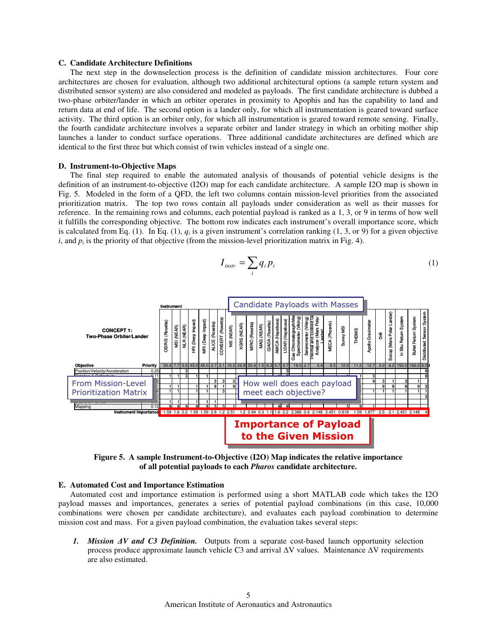#### **C. Candidate Architecture Definitions**

The next step in the downselection process is the definition of candidate mission architectures. Four core architectures are chosen for evaluation, although two additional architectural options (a sample return system and distributed sensor system) are also considered and modeled as payloads. The first candidate architecture is dubbed a two-phase orbiter/lander in which an orbiter operates in proximity to Apophis and has the capability to land and return data at end of life. The second option is a lander only, for which all instrumentation is geared toward surface activity. The third option is an orbiter only, for which all instrumentation is geared toward remote sensing. Finally, the fourth candidate architecture involves a separate orbiter and lander strategy in which an orbiting mother ship launches a lander to conduct surface operations. Three additional candidate architectures are defined which are identical to the first three but which consist of twin vehicles instead of a single one.

#### **D. Instrument-to-Objective Maps**

The final step required to enable the automated analysis of thousands of potential vehicle designs is the definition of an instrument-to-objective (I2O) map for each candidate architecture. A sample I2O map is shown in Fig. 5. Modeled in the form of a QFD, the left two columns contain mission-level priorities from the associated prioritization matrix. The top two rows contain all payloads under consideration as well as their masses for reference. In the remaining rows and columns, each potential payload is ranked as a 1, 3, or 9 in terms of how well it fulfills the corresponding objective. The bottom row indicates each instrument's overall importance score, which is calculated from Eq. (1). In Eq. (1),  $q_i$  is a given instrument's correlation ranking  $(1, 3,$  or 9) for a given objective *i*, and  $p_i$  is the priority of that objective (from the mission-level prioritization matrix in Fig. 4).

$$
I_{\text{instr}} = \sum_{i} q_i p_i \tag{1}
$$



**Figure 5. A sample Instrument-to-Objective (I2O) Map indicates the relative importance of all potential payloads to each** *Pharos* **candidate architecture.**

### **E. Automated Cost and Importance Estimation**

Automated cost and importance estimation is performed using a short MATLAB code which takes the I2O payload masses and importances, generates a series of potential payload combinations (in this case, 10,000 combinations were chosen per candidate architecture), and evaluates each payload combination to determine mission cost and mass. For a given payload combination, the evaluation takes several steps:

*1. Mission V and C3 Definition.* Outputs from a separate cost-based launch opportunity selection process produce approximate launch vehicle C3 and arrival  $\Delta V$  values. Maintenance  $\Delta V$  requirements are also estimated.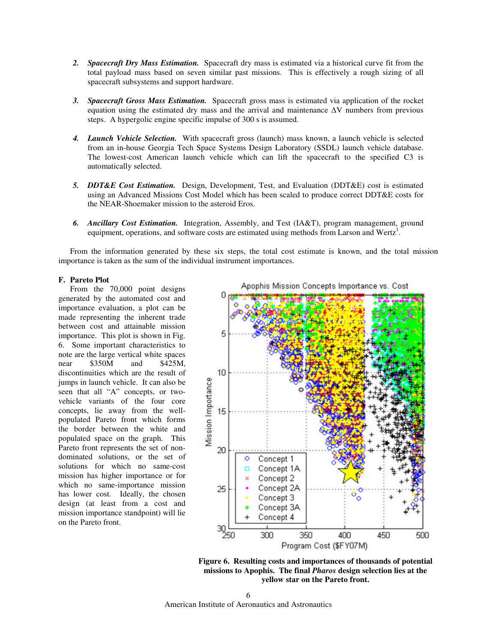- *2. Spacecraft Dry Mass Estimation.* Spacecraft dry mass is estimated via a historical curve fit from the total payload mass based on seven similar past missions. This is effectively a rough sizing of all spacecraft subsystems and support hardware.
- *3. Spacecraft Gross Mass Estimation.* Spacecraft gross mass is estimated via application of the rocket equation using the estimated dry mass and the arrival and maintenance  $\Delta V$  numbers from previous steps. A hypergolic engine specific impulse of 300 s is assumed.
- *4. Launch Vehicle Selection.* With spacecraft gross (launch) mass known, a launch vehicle is selected from an in-house Georgia Tech Space Systems Design Laboratory (SSDL) launch vehicle database. The lowest-cost American launch vehicle which can lift the spacecraft to the specified C3 is automatically selected.
- *5. DDT&E Cost Estimation.* Design, Development, Test, and Evaluation (DDT&E) cost is estimated using an Advanced Missions Cost Model which has been scaled to produce correct DDT&E costs for the NEAR-Shoemaker mission to the asteroid Eros.
- *6. Ancillary Cost Estimation.* Integration, Assembly, and Test (IA&T), program management, ground equipment, operations, and software costs are estimated using methods from Larson and Wertz<sup>1</sup>.

From the information generated by these six steps, the total cost estimate is known, and the total mission importance is taken as the sum of the individual instrument importances.

## **F. Pareto Plot**

From the 70,000 point designs generated by the automated cost and importance evaluation, a plot can be made representing the inherent trade between cost and attainable mission importance. This plot is shown in Fig. 6. Some important characteristics to note are the large vertical white spaces near \$350M and \$425M, discontinuities which are the result of jumps in launch vehicle. It can also be seen that all "A" concepts, or twovehicle variants of the four core concepts, lie away from the wellpopulated Pareto front which forms the border between the white and populated space on the graph. This Pareto front represents the set of nondominated solutions, or the set of solutions for which no same-cost mission has higher importance or for which no same-importance mission has lower cost. Ideally, the chosen design (at least from a cost and mission importance standpoint) will lie on the Pareto front.

Apophis Mission Concepts Importance vs. Cost



**Figure 6. Resulting costs and importances of thousands of potential missions to Apophis. The final** *Pharos* **design selection lies at the yellow star on the Pareto front.**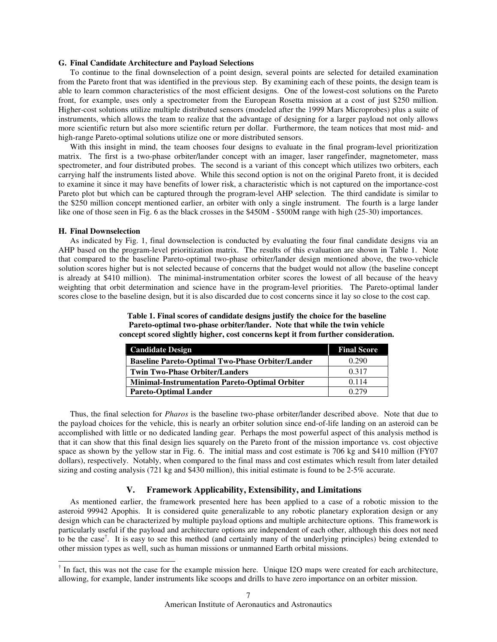#### **G. Final Candidate Architecture and Payload Selections**

To continue to the final downselection of a point design, several points are selected for detailed examination from the Pareto front that was identified in the previous step. By examining each of these points, the design team is able to learn common characteristics of the most efficient designs. One of the lowest-cost solutions on the Pareto front, for example, uses only a spectrometer from the European Rosetta mission at a cost of just \$250 million. Higher-cost solutions utilize multiple distributed sensors (modeled after the 1999 Mars Microprobes) plus a suite of instruments, which allows the team to realize that the advantage of designing for a larger payload not only allows more scientific return but also more scientific return per dollar. Furthermore, the team notices that most mid- and high-range Pareto-optimal solutions utilize one or more distributed sensors.

With this insight in mind, the team chooses four designs to evaluate in the final program-level prioritization matrix. The first is a two-phase orbiter/lander concept with an imager, laser rangefinder, magnetometer, mass spectrometer, and four distributed probes. The second is a variant of this concept which utilizes two orbiters, each carrying half the instruments listed above. While this second option is not on the original Pareto front, it is decided to examine it since it may have benefits of lower risk, a characteristic which is not captured on the importance-cost Pareto plot but which can be captured through the program-level AHP selection. The third candidate is similar to the \$250 million concept mentioned earlier, an orbiter with only a single instrument. The fourth is a large lander like one of those seen in Fig. 6 as the black crosses in the \$450M - \$500M range with high (25-30) importances.

#### **H. Final Downselection**

As indicated by Fig. 1, final downselection is conducted by evaluating the four final candidate designs via an AHP based on the program-level prioritization matrix. The results of this evaluation are shown in Table 1. Note that compared to the baseline Pareto-optimal two-phase orbiter/lander design mentioned above, the two-vehicle solution scores higher but is not selected because of concerns that the budget would not allow (the baseline concept is already at \$410 million). The minimal-instrumentation orbiter scores the lowest of all because of the heavy weighting that orbit determination and science have in the program-level priorities. The Pareto-optimal lander scores close to the baseline design, but it is also discarded due to cost concerns since it lay so close to the cost cap.

# **Table 1. Final scores of candidate designs justify the choice for the baseline Pareto-optimal two-phase orbiter/lander. Note that while the twin vehicle concept scored slightly higher, cost concerns kept it from further consideration.**

| <b>Candidate Design</b>                                 | <b>Final Score</b> |  |  |  |  |
|---------------------------------------------------------|--------------------|--|--|--|--|
| <b>Baseline Pareto-Optimal Two-Phase Orbiter/Lander</b> | 0.290              |  |  |  |  |
| <b>Twin Two-Phase Orbiter/Landers</b>                   | 0.317              |  |  |  |  |
| <b>Minimal-Instrumentation Pareto-Optimal Orbiter</b>   | 0.114              |  |  |  |  |
| <b>Pareto-Optimal Lander</b>                            | 0.279              |  |  |  |  |

Thus, the final selection for *Pharos* is the baseline two-phase orbiter/lander described above. Note that due to the payload choices for the vehicle, this is nearly an orbiter solution since end-of-life landing on an asteroid can be accomplished with little or no dedicated landing gear. Perhaps the most powerful aspect of this analysis method is that it can show that this final design lies squarely on the Pareto front of the mission importance vs. cost objective space as shown by the yellow star in Fig. 6. The initial mass and cost estimate is 706 kg and \$410 million (FY07) dollars), respectively. Notably, when compared to the final mass and cost estimates which result from later detailed sizing and costing analysis (721 kg and \$430 million), this initial estimate is found to be 2-5% accurate.

## **V. Framework Applicability, Extensibility, and Limitations**

As mentioned earlier, the framework presented here has been applied to a case of a robotic mission to the asteroid 99942 Apophis. It is considered quite generalizable to any robotic planetary exploration design or any design which can be characterized by multiple payload options and multiple architecture options. This framework is particularly useful if the payload and architecture options are independent of each other, although this does not need to be the case † . It is easy to see this method (and certainly many of the underlying principles) being extended to other mission types as well, such as human missions or unmanned Earth orbital missions.

<sup>&</sup>lt;sup>†</sup> In fact, this was not the case for the example mission here. Unique I2O maps were created for each architecture, allowing, for example, lander instruments like scoops and drills to have zero importance on an orbiter mission.